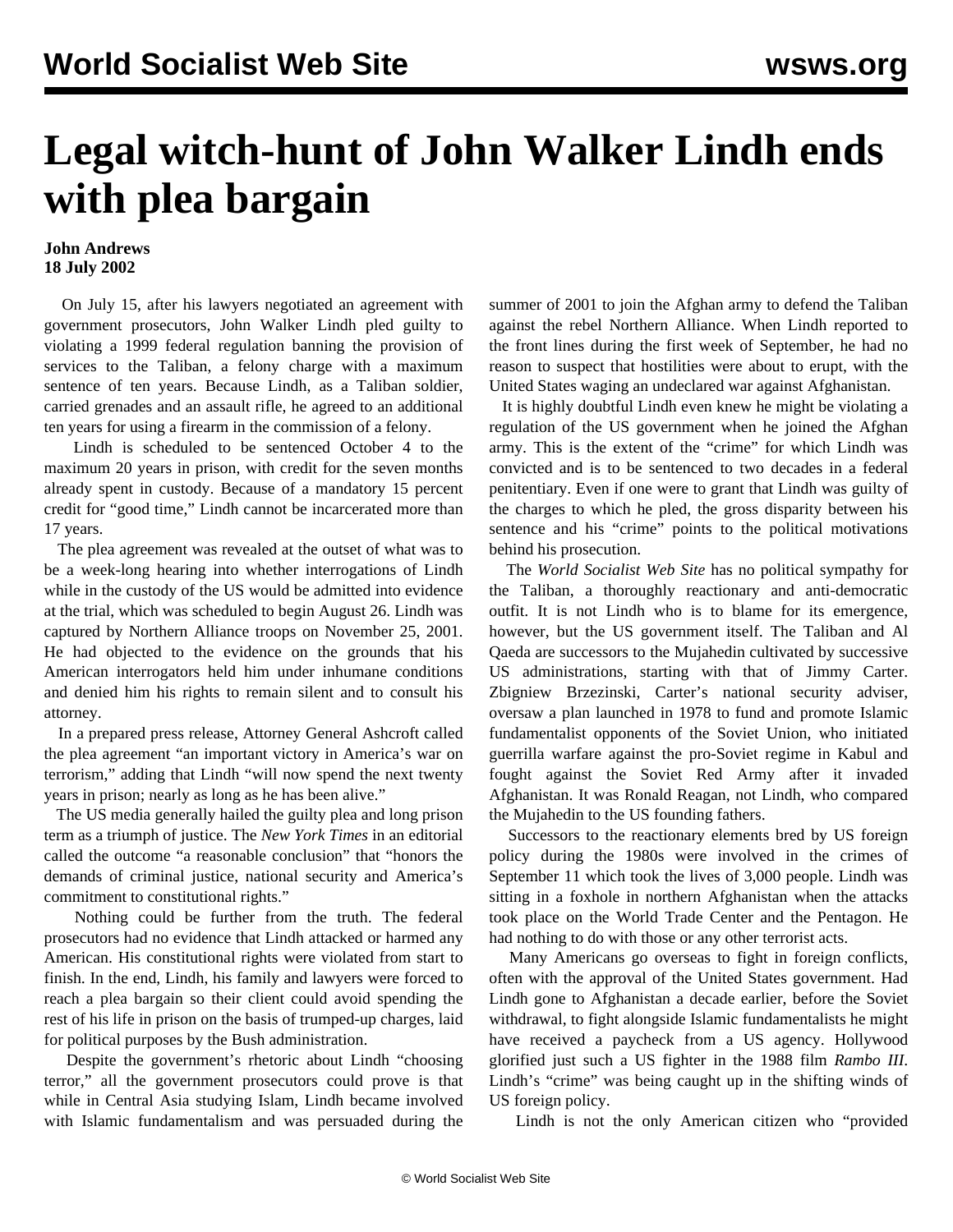## **Legal witch-hunt of John Walker Lindh ends with plea bargain**

## **John Andrews 18 July 2002**

 On July 15, after his lawyers negotiated an agreement with government prosecutors, John Walker Lindh pled guilty to violating a 1999 federal regulation banning the provision of services to the Taliban, a felony charge with a maximum sentence of ten years. Because Lindh, as a Taliban soldier, carried grenades and an assault rifle, he agreed to an additional ten years for using a firearm in the commission of a felony.

 Lindh is scheduled to be sentenced October 4 to the maximum 20 years in prison, with credit for the seven months already spent in custody. Because of a mandatory 15 percent credit for "good time," Lindh cannot be incarcerated more than 17 years.

 The plea agreement was revealed at the outset of what was to be a week-long hearing into whether interrogations of Lindh while in the custody of the US would be admitted into evidence at the trial, which was scheduled to begin August 26. Lindh was captured by Northern Alliance troops on November 25, 2001. He had objected to the evidence on the grounds that his American interrogators held him under inhumane conditions and denied him his rights to remain silent and to consult his attorney.

 In a prepared press release, Attorney General Ashcroft called the plea agreement "an important victory in America's war on terrorism," adding that Lindh "will now spend the next twenty years in prison; nearly as long as he has been alive."

 The US media generally hailed the guilty plea and long prison term as a triumph of justice. The *New York Times* in an editorial called the outcome "a reasonable conclusion" that "honors the demands of criminal justice, national security and America's commitment to constitutional rights."

 Nothing could be further from the truth. The federal prosecutors had no evidence that Lindh attacked or harmed any American. His constitutional rights were violated from start to finish. In the end, Lindh, his family and lawyers were forced to reach a plea bargain so their client could avoid spending the rest of his life in prison on the basis of trumped-up charges, laid for political purposes by the Bush administration.

 Despite the government's rhetoric about Lindh "choosing terror," all the government prosecutors could prove is that while in Central Asia studying Islam, Lindh became involved with Islamic fundamentalism and was persuaded during the summer of 2001 to join the Afghan army to defend the Taliban against the rebel Northern Alliance. When Lindh reported to the front lines during the first week of September, he had no reason to suspect that hostilities were about to erupt, with the United States waging an undeclared war against Afghanistan.

 It is highly doubtful Lindh even knew he might be violating a regulation of the US government when he joined the Afghan army. This is the extent of the "crime" for which Lindh was convicted and is to be sentenced to two decades in a federal penitentiary. Even if one were to grant that Lindh was guilty of the charges to which he pled, the gross disparity between his sentence and his "crime" points to the political motivations behind his prosecution.

 The *World Socialist Web Site* has no political sympathy for the Taliban, a thoroughly reactionary and anti-democratic outfit. It is not Lindh who is to blame for its emergence, however, but the US government itself. The Taliban and Al Qaeda are successors to the Mujahedin cultivated by successive US administrations, starting with that of Jimmy Carter. Zbigniew Brzezinski, Carter's national security adviser, oversaw a plan launched in 1978 to fund and promote Islamic fundamentalist opponents of the Soviet Union, who initiated guerrilla warfare against the pro-Soviet regime in Kabul and fought against the Soviet Red Army after it invaded Afghanistan. It was Ronald Reagan, not Lindh, who compared the Mujahedin to the US founding fathers.

 Successors to the reactionary elements bred by US foreign policy during the 1980s were involved in the crimes of September 11 which took the lives of 3,000 people. Lindh was sitting in a foxhole in northern Afghanistan when the attacks took place on the World Trade Center and the Pentagon. He had nothing to do with those or any other terrorist acts.

 Many Americans go overseas to fight in foreign conflicts, often with the approval of the United States government. Had Lindh gone to Afghanistan a decade earlier, before the Soviet withdrawal, to fight alongside Islamic fundamentalists he might have received a paycheck from a US agency. Hollywood glorified just such a US fighter in the 1988 film *Rambo III*. Lindh's "crime" was being caught up in the shifting winds of US foreign policy.

Lindh is not the only American citizen who "provided